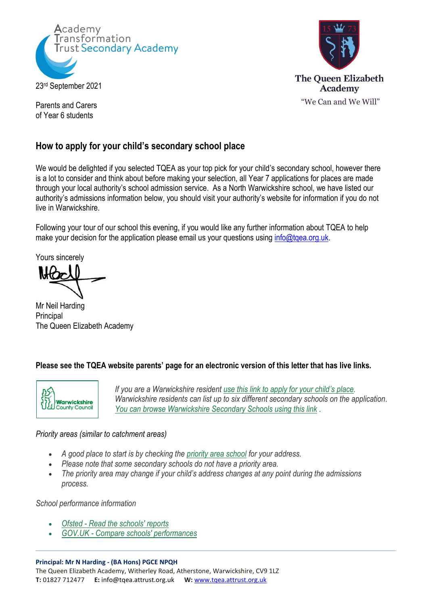



Parents and Carers of Year 6 students

## **How to apply for your child's secondary school place**

We would be delighted if you selected TQEA as your top pick for your child's secondary school, however there is a lot to consider and think about before making your selection, all Year 7 applications for places are made through your local authority's school admission service. As a North Warwickshire school, we have listed our authority's admissions information below, you should visit your authority's website for information if you do not live in Warwickshire.

Following your tour of our school this evening, if you would like any further information about TQEA to help make your decision for the application please email us your questions using info@tgea.org.uk.

Yours sincerely

Mr Neil Harding Principal The Queen Elizabeth Academy

### **Please see the TQEA website parents' page for an electronic version of this letter that has live links.**



*If you are a Warwickshire resident [use this link to apply for your child](https://www.warwickshire.gov.uk/applying-secondary-school-place/apply-secondary-school-place/1)'s place. Warwickshire residents can list up to six different secondary schools on the application. [You can browse Warwickshire Secondary Schools using this link](https://apps.warwickshire.gov.uk/findaschool) .*

### *Priority areas (similar to catchment areas)*

- *A good place to start is by checking the [priority area school](http://www.warwickshire.gov.uk/mapsecondaryschools) for your address.*
- *Please note that some secondary schools do not have a priority area.*
- *The priority area may change if your child's address changes at any point during the admissions process.*

*School performance information*

- *Ofsted - [Read the schools' reports](https://reports.ofsted.gov.uk/search?q=&location=&radius=&level_2_types%5B%5D=2&local_authority%5B%5D=937&latest_report_date_start=&latest_report_date_end=&status%5B%5D=1&level_1_types=1)*
- *GOV.UK - [Compare schools' performances](https://www.compare-school-performance.service.gov.uk/schools-by-type?step=default&table=schools®ion=937&la-name=warwickshire&geographic=la&for=secondary)*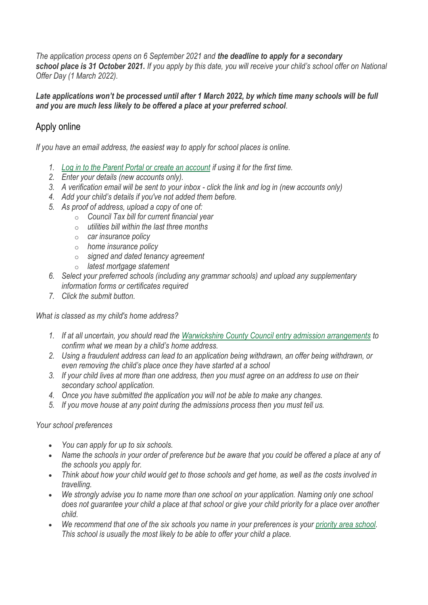*The application process opens on 6 September 2021 and the deadline to apply for a secondary school place is 31 October 2021. If you apply by this date, you will receive your child's school offer on National Offer Day (1 March 2022).*

*Late applications won't be processed until after 1 March 2022, by which time many schools will be full and you are much less likely to be offered a place at your preferred school.*

# Apply online

*If you have an email address, the easiest way to apply for school places is online.*

- *1. [Log in to the Parent Portal or](https://admissions.warwickshire.gov.uk/Synergy/login.aspx?ReturnUrl=.%2FParents%2F) create an account if using it for the first time.*
- *2. Enter your details (new accounts only).*
- *3. A verification email will be sent to your inbox - click the link and log in (new accounts only)*
- *4. Add your child's details if you've not added them before.*
- *5. As proof of address, upload a copy of one of:*
	- o *Council Tax bill for current financial year*
	- o *utilities bill within the last three months*
	- o *car insurance policy*
	- o *home insurance policy*
	- o *signed and dated tenancy agreement*
	- o *latest mortgage statement*
- *6. Select your preferred schools (including any grammar schools) and upload any supplementary information forms or certificates required*
- *7. Click the submit button.*

*What is classed as my child's home address?*

- *1. If at all uncertain, you should read the Warwickshire County Council [entry admission arrangements](https://www.warwickshire.gov.uk/schoollacriteria) to confirm what we mean by a child's home address.*
- *2. Using a fraudulent address can lead to an application being withdrawn, an offer being withdrawn, or even removing the child's place once they have started at a school*
- *3. If your child lives at more than one address, then you must agree on an address to use on their secondary school application.*
- *4. Once you have submitted the application you will not be able to make any changes.*
- *5. If you move house at any point during the admissions process then you must tell us.*

#### *Your school preferences*

- *You can apply for up to six schools.*
- *Name the schools in your order of preference but be aware that you could be offered a place at any of the schools you apply for.*
- *Think about how your child would get to those schools and get home, as well as the costs involved in travelling.*
- *We strongly advise you to name more than one school on your application. Naming only one school does not guarantee your child a place at that school or give your child priority for a place over another child.*
- *We recommend that one of the six schools you name in your preferences is your [priority area](https://www.warwickshire.gov.uk/mapsecondaryschools) school. This school is usually the most likely to be able to offer your child a place.*